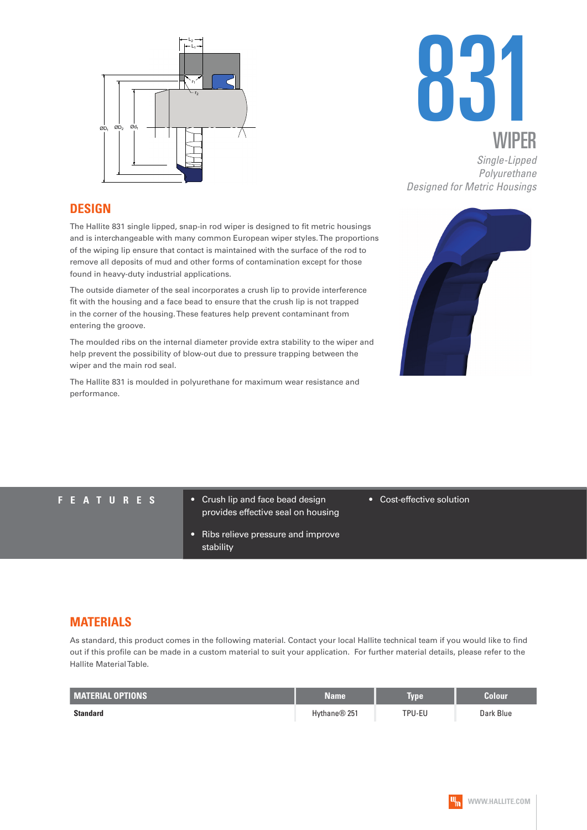



*Single-Lipped Polyurethane Designed for Metric Housings*

#### **DESIGN**

The Hallite 831 single lipped, snap-in rod wiper is designed to fit metric housings and is interchangeable with many common European wiper styles. The proportions of the wiping lip ensure that contact is maintained with the surface of the rod to remove all deposits of mud and other forms of contamination except for those found in heavy-duty industrial applications.

The outside diameter of the seal incorporates a crush lip to provide interference fit with the housing and a face bead to ensure that the crush lip is not trapped in the corner of the housing. These features help prevent contaminant from entering the groove.

The moulded ribs on the internal diameter provide extra stability to the wiper and help prevent the possibility of blow-out due to pressure trapping between the wiper and the main rod seal.

The Hallite 831 is moulded in polyurethane for maximum wear resistance and performance.



- **FEATURES** Crush lip and face bead design provides effective seal on housing
	- Ribs relieve pressure and improve stability

#### • Cost-effective solution

#### **MATERIALS**

As standard, this product comes in the following material. Contact your local Hallite technical team if you would like to find out if this profile can be made in a custom material to suit your application. For further material details, please refer to the Hallite Material Table.

| <b>MATERIAL OPTIONS</b> | <b>Name</b>  | <b>Type</b> | Colour    |
|-------------------------|--------------|-------------|-----------|
| Standard                | Hythane® 251 | TPU-EU      | Dark Blue |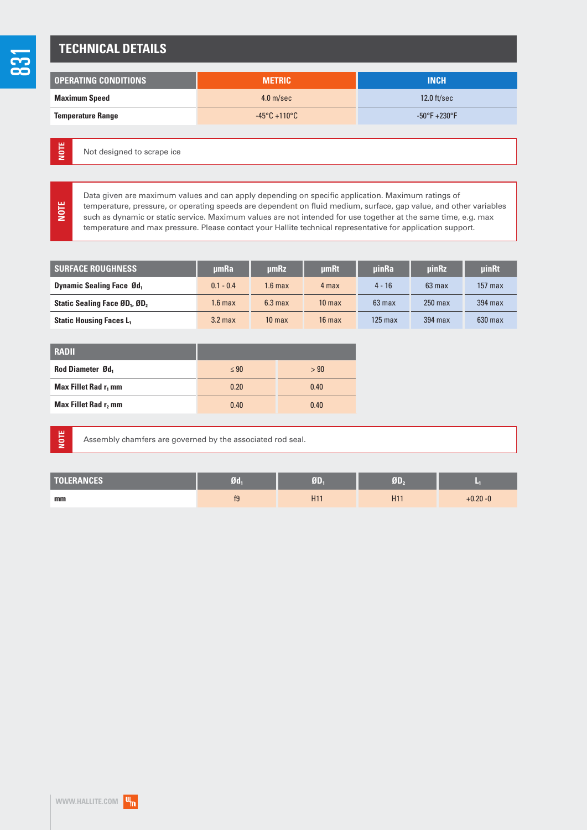### **TECHNICAL DETAILS**

| <b>OPERATING CONDITIONS</b> | <b>METRIC</b>                     | <b>INCH</b>                      |
|-----------------------------|-----------------------------------|----------------------------------|
| <b>Maximum Speed</b>        | 4.0 <sub>m/sec</sub>              | $12.0$ ft/sec                    |
| <b>Temperature Range</b>    | $-45^{\circ}$ C +110 $^{\circ}$ C | $-50^{\circ}$ F $+230^{\circ}$ F |

Not designed to scrape ice **NOTE**

> Data given are maximum values and can apply depending on specific application. Maximum ratings of temperature, pressure, or operating speeds are dependent on fluid medium, surface, gap value, and other variables such as dynamic or static service. Maximum values are not intended for use together at the same time, e.g. max temperature and max pressure. Please contact your Hallite technical representative for application support.

| <b>SURFACE ROUGHNESS</b>                              | umRa               | umRz               | umRt              | <b>uinRa</b> | <b>uinRz</b> | uinRt     |
|-------------------------------------------------------|--------------------|--------------------|-------------------|--------------|--------------|-----------|
| <b>Dynamic Sealing Face Ød</b>                        | $0.1 - 0.4$        | 1.6 max            | 4 max             | $4 - 16$     | $63$ max     | $157$ max |
| Static Sealing Face ØD <sub>1</sub> , ØD <sub>2</sub> | $1.6 \text{ max}$  | 6.3 <sub>max</sub> | 10 <sub>max</sub> | $63$ max     | $250$ max    | $394$ max |
| <b>Static Housing Faces L1</b>                        | 3.2 <sub>max</sub> | 10 <sub>max</sub>  | $16$ max          | $125$ max    | 394 max      | $630$ max |

| RADII                            |           |      |
|----------------------------------|-----------|------|
| Rod Diameter Ød,                 | $\leq 90$ | > 90 |
| Max Fillet Rad r <sub>1</sub> mm | 0.20      | 0.40 |
| Max Fillet Rad r, mm             | 0.40      | 0.40 |

**NOTE**

**NOTE**

Assembly chamfers are governed by the associated rod seal.

| <b>TOLERANCES</b> | $Jd_1$ | T               |                 |             |
|-------------------|--------|-----------------|-----------------|-------------|
| mm                | f9     | H <sub>11</sub> | H <sub>11</sub> | $+0.20 - 0$ |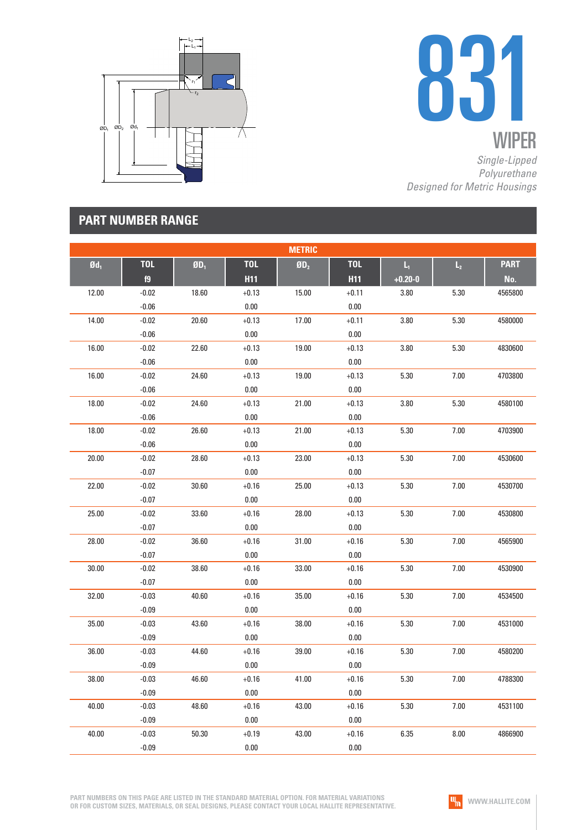



*Single-Lipped Polyurethane Designed for Metric Housings*

## **PART NUMBER RANGE**

|                   |            |        |            | <b>METRIC</b>   |            |                         |                |             |
|-------------------|------------|--------|------------|-----------------|------------|-------------------------|----------------|-------------|
| $\mathfrak{gd}_1$ | <b>TOL</b> | $ØD_1$ | <b>TOL</b> | ØD <sub>2</sub> | <b>TOL</b> | $\mathsf{L}_\mathrm{t}$ | $\mathsf{L}_2$ | <b>PART</b> |
|                   | f9         |        | <b>H11</b> |                 | <b>H11</b> | $+0.20 - 0$             |                | No.         |
| 12.00             | $-0.02$    | 18.60  | $+0.13$    | 15.00           | $+0.11$    | 3.80                    | 5.30           | 4565800     |
|                   | $-0.06$    |        | 0.00       |                 | 0.00       |                         |                |             |
| 14.00             | $-0.02$    | 20.60  | $+0.13$    | 17.00           | $+0.11$    | 3.80                    | 5.30           | 4580000     |
|                   | $-0.06$    |        | $0.00\,$   |                 | 0.00       |                         |                |             |
| 16.00             | $-0.02$    | 22.60  | $+0.13$    | 19.00           | $+0.13$    | 3.80                    | 5.30           | 4830600     |
|                   | $-0.06$    |        | 0.00       |                 | 0.00       |                         |                |             |
| 16.00             | $-0.02$    | 24.60  | $+0.13$    | 19.00           | $+0.13$    | 5.30                    | 7.00           | 4703800     |
|                   | $-0.06$    |        | $0.00\,$   |                 | 0.00       |                         |                |             |
| 18.00             | $-0.02$    | 24.60  | $+0.13$    | 21.00           | $+0.13$    | 3.80                    | 5.30           | 4580100     |
|                   | $-0.06$    |        | 0.00       |                 | 0.00       |                         |                |             |
| 18.00             | $-0.02$    | 26.60  | $+0.13$    | 21.00           | $+0.13$    | 5.30                    | 7.00           | 4703900     |
|                   | $-0.06$    |        | $0.00\,$   |                 | 0.00       |                         |                |             |
| 20.00             | $-0.02$    | 28.60  | $+0.13$    | 23.00           | $+0.13$    | 5.30                    | 7.00           | 4530600     |
|                   | $-0.07$    |        | 0.00       |                 | 0.00       |                         |                |             |
| 22.00             | $-0.02$    | 30.60  | $+0.16$    | 25.00           | $+0.13$    | 5.30                    | 7.00           | 4530700     |
|                   | $-0.07$    |        | $0.00\,$   |                 | 0.00       |                         |                |             |
| 25.00             | $-0.02$    | 33.60  | $+0.16$    | 28.00           | $+0.13$    | 5.30                    | 7.00           | 4530800     |
|                   | $-0.07$    |        | 0.00       |                 | 0.00       |                         |                |             |
| 28.00             | $-0.02$    | 36.60  | $+0.16$    | 31.00           | $+0.16$    | 5.30                    | 7.00           | 4565900     |
|                   | $-0.07$    |        | $0.00\,$   |                 | 0.00       |                         |                |             |
| 30.00             | $-0.02$    | 38.60  | $+0.16$    | 33.00           | $+0.16$    | 5.30                    | 7.00           | 4530900     |
|                   | $-0.07$    |        | 0.00       |                 | 0.00       |                         |                |             |
| 32.00             | $-0.03$    | 40.60  | $+0.16$    | 35.00           | $+0.16$    | 5.30                    | 7.00           | 4534500     |
|                   | $-0.09$    |        | $0.00\,$   |                 | 0.00       |                         |                |             |
| 35.00             | $-0.03$    | 43.60  | $+0.16$    | 38.00           | $+0.16$    | 5.30                    | 7.00           | 4531000     |
|                   | $-0.09$    |        | 0.00       |                 | 0.00       |                         |                |             |
| 36.00             | $-0.03$    | 44.60  | $+0.16$    | 39.00           | $+0.16$    | 5.30                    | 7.00           | 4580200     |
|                   | $-0.09$    |        | 0.00       |                 | 0.00       |                         |                |             |
| 38.00             | $-0.03$    | 46.60  | $+0.16$    | 41.00           | $+0.16$    | 5.30                    | 7.00           | 4788300     |
|                   | $-0.09$    |        | 0.00       |                 | 0.00       |                         |                |             |
| 40.00             | $-0.03$    | 48.60  | $+0.16$    | 43.00           | $+0.16$    | 5.30                    | 7.00           | 4531100     |
|                   | $-0.09$    |        | $0.00\,$   |                 | 0.00       |                         |                |             |
| 40.00             | $-0.03$    | 50.30  | $+0.19$    | 43.00           | $+0.16$    | 6.35                    | 8.00           | 4866900     |
|                   | $-0.09$    |        | $0.00\,$   |                 | 0.00       |                         |                |             |

**PART NUMBERS ON THIS PAGE ARE LISTED IN THE STANDARD MATERIAL OPTION. FOR MATERIAL VARIATIONS OR FOR CUSTOM SIZES, MATERIALS, OR SEAL DESIGNS, PLEASE CONTACT YOUR LOCAL HALLITE REPRESENTATIVE.**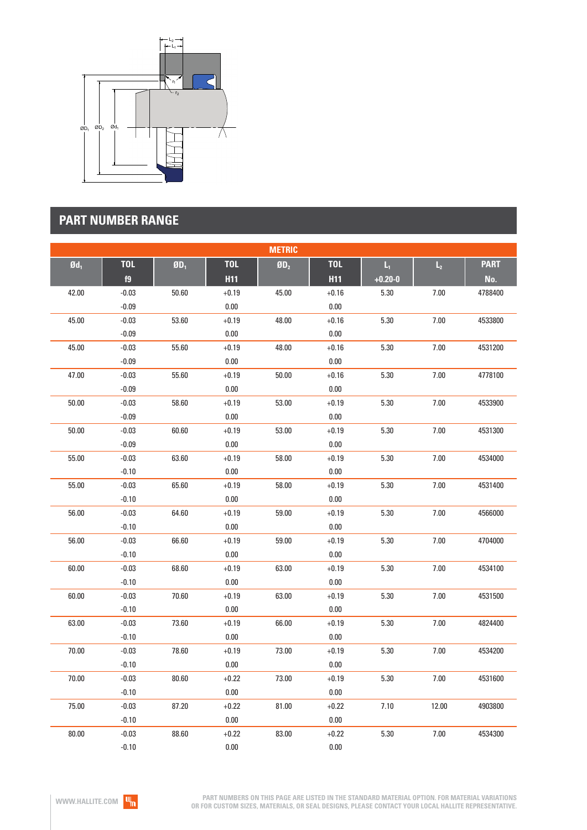

# **PART NUMBER RANGE**

| <b>METRIC</b>     |            |         |            |                 |            |             |                |             |  |
|-------------------|------------|---------|------------|-----------------|------------|-------------|----------------|-------------|--|
| $\mathfrak{gd}_1$ | <b>TOL</b> | $$D_1$$ | <b>TOL</b> | ØD <sub>2</sub> | <b>TOL</b> | L,          | $\mathsf{L}_2$ | <b>PART</b> |  |
|                   | f9         |         | <b>H11</b> |                 | <b>H11</b> | $+0.20 - 0$ |                | No.         |  |
| 42.00             | $-0.03$    | 50.60   | $+0.19$    | 45.00           | $+0.16$    | 5.30        | 7.00           | 4788400     |  |
|                   | $-0.09$    |         | $0.00\,$   |                 | $0.00\,$   |             |                |             |  |
| 45.00             | $-0.03$    | 53.60   | $+0.19$    | 48.00           | $+0.16$    | 5.30        | 7.00           | 4533800     |  |
|                   | $-0.09$    |         | $0.00\,$   |                 | 0.00       |             |                |             |  |
| 45.00             | $-0.03$    | 55.60   | $+0.19$    | 48.00           | $+0.16$    | 5.30        | 7.00           | 4531200     |  |
|                   | $-0.09$    |         | $0.00\,$   |                 | 0.00       |             |                |             |  |
| 47.00             | $-0.03$    | 55.60   | $+0.19$    | 50.00           | $+0.16$    | 5.30        | 7.00           | 4778100     |  |
|                   | $-0.09$    |         | $0.00\,$   |                 | $0.00\,$   |             |                |             |  |
| 50.00             | $-0.03$    | 58.60   | $+0.19$    | 53.00           | $+0.19$    | 5.30        | 7.00           | 4533900     |  |
|                   | $-0.09$    |         | $0.00\,$   |                 | 0.00       |             |                |             |  |
| 50.00             | $-0.03$    | 60.60   | $+0.19$    | 53.00           | $+0.19$    | 5.30        | 7.00           | 4531300     |  |
|                   | $-0.09$    |         | $0.00\,$   |                 | $0.00\,$   |             |                |             |  |
| 55.00             | $-0.03$    | 63.60   | $+0.19$    | 58.00           | $+0.19$    | 5.30        | 7.00           | 4534000     |  |
|                   | $-0.10$    |         | $0.00\,$   |                 | $0.00\,$   |             |                |             |  |
| 55.00             | $-0.03$    | 65.60   | $+0.19$    | 58.00           | $+0.19$    | 5.30        | 7.00           | 4531400     |  |
|                   | $-0.10$    |         | $0.00\,$   |                 | $0.00\,$   |             |                |             |  |
| 56.00             | $-0.03$    | 64.60   | $+0.19$    | 59.00           | $+0.19$    | 5.30        | $7.00$         | 4566000     |  |
|                   | $-0.10$    |         | $0.00\,$   |                 | $0.00\,$   |             |                |             |  |
| 56.00             | $-0.03$    | 66.60   | $+0.19$    | 59.00           | $+0.19$    | 5.30        | $7.00$         | 4704000     |  |
|                   | $-0.10$    |         | $0.00\,$   |                 | $0.00\,$   |             |                |             |  |
| 60.00             | $-0.03$    | 68.60   | $+0.19$    | 63.00           | $+0.19$    | 5.30        | $7.00$         | 4534100     |  |
|                   | $-0.10$    |         | $0.00\,$   |                 | 0.00       |             |                |             |  |
| 60.00             | $-0.03$    | 70.60   | $+0.19$    | 63.00           | $+0.19$    | 5.30        | $7.00\,$       | 4531500     |  |
|                   | $-0.10$    |         | $0.00\,$   |                 | 0.00       |             |                |             |  |
| 63.00             | $-0.03$    | 73.60   | $+0.19$    | 66.00           | $+0.19$    | 5.30        | 7.00           | 4824400     |  |
|                   | $-0.10$    |         | $0.00\,$   |                 | 0.00       |             |                |             |  |
| 70.00             | $-0.03$    | 78.60   | $+0.19$    | 73.00           | $+0.19$    | 5.30        | 7.00           | 4534200     |  |
|                   | $-0.10$    |         | $0.00\,$   |                 | $0.00\,$   |             |                |             |  |
| 70.00             | $-0.03$    | 80.60   | $+0.22$    | 73.00           | $+0.19$    | 5.30        | 7.00           | 4531600     |  |
|                   | $-0.10$    |         | $0.00\,$   |                 | $0.00\,$   |             |                |             |  |
| 75.00             | $-0.03$    | 87.20   | $+0.22$    | 81.00           | $+0.22$    | 7.10        | 12.00          | 4903800     |  |
|                   | $-0.10$    |         | $0.00\,$   |                 | 0.00       |             |                |             |  |
| 80.00             | $-0.03$    | 88.60   | $+0.22$    | 83.00           | $+0.22$    | 5.30        | 7.00           | 4534300     |  |
|                   | $-0.10$    |         | 0.00       |                 | 0.00       |             |                |             |  |